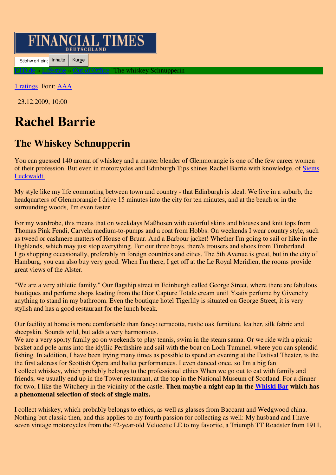## **FINANCIAL TIMES**

Stichw ort eing Inhalte | Kurse

The whiskey Schnupperin

1 ratings Font: AAA

23.12.2009, 10:00

## **Rachel Barrie**

## **The Whiskey Schnupperin**

You can guessed 140 aroma of whiskey and a master blender of Glenmorangie is one of the few career women of their profession. But even in motorcycles and Edinburgh Tips shines Rachel Barrie with knowledge. of Siems Luckwaldt

My style like my life commuting between town and country - that Edinburgh is ideal. We live in a suburb, the headquarters of Glenmorangie I drive 15 minutes into the city for ten minutes, and at the beach or in the surrounding woods, I'm even faster.

For my wardrobe, this means that on weekdays Maßhosen with colorful skirts and blouses and knit tops from Thomas Pink Fendi, Carvela medium-to-pumps and a coat from Hobbs. On weekends I wear country style, such as tweed or cashmere matters of House of Bruar. And a Barbour jacket! Whether I'm going to sail or hike in the Highlands, which may just stop everything. For our three boys, there's trousers and shoes from Timberland. I go shopping occasionally, preferably in foreign countries and cities. The 5th Avenue is great, but in the city of Hamburg, you can also buy very good. When I'm there, I get off at the Le Royal Meridien, the rooms provide great views of the Alster.

"We are a very athletic family," Our flagship street in Edinburgh called George Street, where there are fabulous boutiques and perfume shops leading from the Dior Capture Totale cream until Ysatis perfume by Givenchy anything to stand in my bathroom. Even the boutique hotel Tigerlily is situated on George Street, it is very stylish and has a good restaurant for the lunch break.

Our facility at home is more comfortable than fancy: terracotta, rustic oak furniture, leather, silk fabric and sheepskin. Sounds wild, but adds a very harmonious.

We are a very sporty family go on weekends to play tennis, swim in the steam sauna. Or we ride with a picnic basket and pole arms into the idyllic Perthshire and sail with the boat on Loch Tummel, where you can splendid fishing. In addition, I have been trying many times as possible to spend an evening at the Festival Theater, is the the first address for Scottish Opera and ballet performances. I even danced once, so I'm a big fan I collect whiskey, which probably belongs to the professional ethics When we go out to eat with family and friends, we usually end up in the Tower restaurant, at the top in the National Museum of Scotland. For a dinner for two, I like the Witchery in the vicinity of the castle. **Then maybe a night cap in the Whiski Bar which has a phenomenal selection of stock of single malts.** 

I collect whiskey, which probably belongs to ethics, as well as glasses from Baccarat and Wedgwood china. Nothing but classic then, and this applies to my fourth passion for collecting as well: My husband and I have seven vintage motorcycles from the 42-year-old Velocette LE to my favorite, a Triumph TT Roadster from 1911,